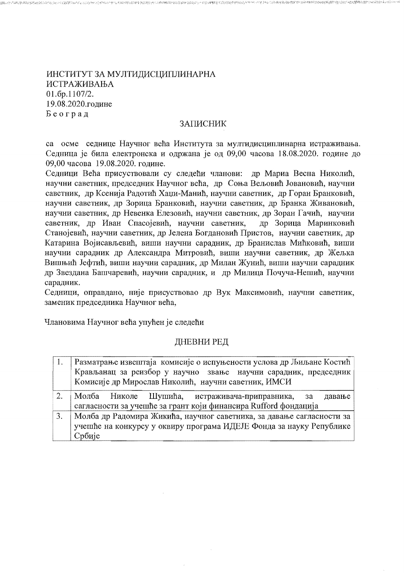ИНСТИТУТ ЗА МУЛТИДИСЦИПЛИНАРНА **ИСТРАЖИВАЊА**  $01.6p.1107/2.$ 19.08.2020.године Београд

## ЗАПИСНИК

ES 484 BAS DE SAN DE SAN PERSONAL DE LA PRODUCTION DE LA SAN DE LA SAN DE LA SAN DE LA SAN DE LA SAN DE LA SAN

са осме седнице Научног већа Института за мултидисциплинарна истраживања. Седница је била електронска и одржана је од 09,00 часова 18.08.2020. године до 09,00 часова 19.08.2020. године.

Седници Већа присуствовали су следећи чланови: др Мариа Весна Николић, научни саветник, председник Научног већа, др Соња Вељовић Јовановић, научни саветник, др Ксенија Радотић Хаџи-Манић, научни саветник, др Горан Бранковић, научни саветник, др Зорица Бранковић, научни саветник, др Бранка Живановић, научни саветник, др Невенка Елезовић, научни саветник, др Зоран Гачић, научни саветник, др Иван Спасојевић, научни саветник, др Зорица Маринковић Станојевић, научни саветник, др Јелена Богдановић Пристов, научни саветник, др Катарина Војисављевић, виши научни сарадник, др Бранислав Мићковић, виши научни сарадник др Александра Митровић, виши научни саветник, др Жељка Вишњић Јефтић, виши научни сарадник, др Милан Жунић, виши научни сарадник др Звездана Башчаревић, научни сарадник, и др Милица Почуча-Нешић, научни сарадник.

Седници, оправдано, није присуствовао др Вук Максимовић, научни саветник, заменик председника Научног већа.

Члановима Научног већа упућен је следећи

# ДНЕВНИ РЕД

| -1. | Разматрање извештаја комисије о испуњености услова др Љиљане Костић   |
|-----|-----------------------------------------------------------------------|
|     | Крављанац за реизбор у научно звање научни сарадник, председник       |
|     | Комисије др Мирослав Николић, научни саветник, ИМСИ                   |
| 2.  | Молба Николе Шушића, истраживача-приправника, за<br>давање            |
|     | сагласности за учешће за грант који финансира Rufford фондација       |
| 3.  | Молба др Радомира Жикића, научног саветника, за давање сагласности за |
|     | учешће на конкурсу у оквиру програма ИДЕЈЕ Фонда за науку Републике   |
|     | Србије                                                                |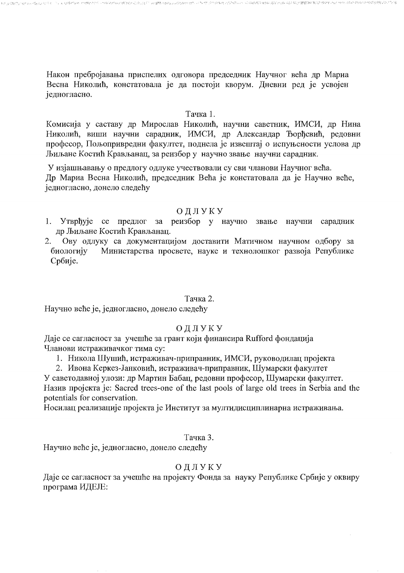Након пребројавања приспелих одговора председник Научног већа др Мариа Весна Николић, констатовала је да постоји кворум. Дневни ред је усвојен іедногласно.

## Тачка 1.

Комисија у саставу др Мирослав Николић, научни саветник, ИМСИ, др Нина Николић, виши научни сарадник, ИМСИ, др Александар Ђорђевић, редовни професор. Пољопривредни факултет, поднела је извештај о испуњености услова др Љиљане Костић Крављанац, за реизбор у научно звање научни сарадник.

У изјашњавању о предлогу одлуке учествовали су сви чланови Научног већа. Др Мариа Весна Николић, председник Већа је констатовала да је Научно веће, једногласно, донело следећу

## ОДЛУКУ

- 1. Утврђује се предлог за реизбор у научно звање научни сарадник др Љиљане Костић Крављанац.
- Ову одлуку са документацијом доставити Матичном научном одбору за  $2.$ биологију Министарства просвете, науке и технолошког развоја Републике Србије.

#### Тачка 2.

Научно веће је, једногласно, донело следећу

## ОДЛУКУ

Даје се сагласност за учешће за грант који финансира Rufford фондација Чланови истраживачког тима су:

- 1. Никола Шушић, истраживач-приправник, ИМСИ, руководилац пројекта
- 2. Ивона Керкез-Јанковић, истраживач-приправник, Шумарски факултет

У саветодавној улози: др Мартин Бабац, редовни професор, Шумарски факултет. Назив пројекта је: Sacred trees-one of the last pools of large old trees in Serbia and the potentials for conservation.

Носилац реализације пројекта је Институт за мултидисциплинарна истраживања.

#### Тачка 3.

Научно веће је, једногласно, донело следећу

## ОДЛУКУ

Даје се сагласност за учешће на пројекту Фонда за науку Републике Србије у оквиру програма ИДЕЈЕ: